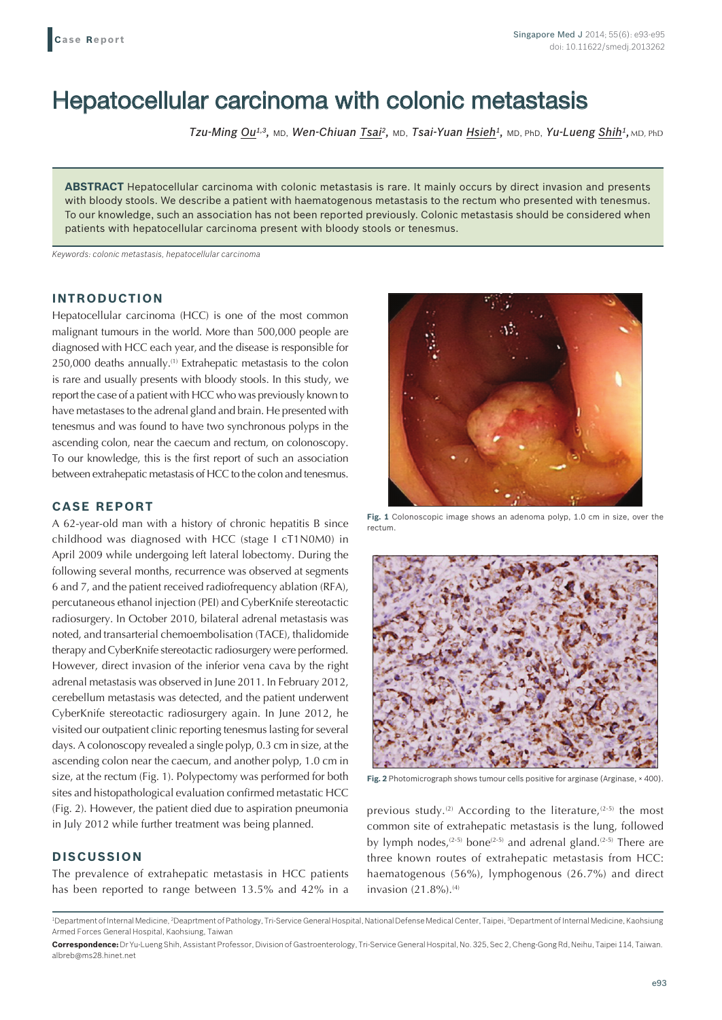# Hepatocellular carcinoma with colonic metastasis

*Tzu-Ming Ou1,3,* MD, *Wen-Chiuan Tsai2,* MD, *Tsai-Yuan Hsieh1,* MD, PhD, *Yu-Lueng Shih1,* MD, PhD

**ABSTRACT** Hepatocellular carcinoma with colonic metastasis is rare. It mainly occurs by direct invasion and presents with bloody stools. We describe a patient with haematogenous metastasis to the rectum who presented with tenesmus. To our knowledge, such an association has not been reported previously. Colonic metastasis should be considered when patients with hepatocellular carcinoma present with bloody stools or tenesmus.

*Keywords: colonic metastasis, hepatocellular carcinoma*

### **INTRODUCTION**

Hepatocellular carcinoma (HCC) is one of the most common malignant tumours in the world. More than 500,000 people are diagnosed with HCC each year, and the disease is responsible for 250,000 deaths annually.(1) Extrahepatic metastasis to the colon is rare and usually presents with bloody stools. In this study, we report the case of a patient with HCC who was previously known to have metastases to the adrenal gland and brain. He presented with tenesmus and was found to have two synchronous polyps in the ascending colon, near the caecum and rectum, on colonoscopy. To our knowledge, this is the first report of such an association between extrahepatic metastasis of HCC to the colon and tenesmus.

#### **CASE REPORT**

A 62-year-old man with a history of chronic hepatitis B since childhood was diagnosed with HCC (stage I cT1N0M0) in April 2009 while undergoing left lateral lobectomy. During the following several months, recurrence was observed at segments 6 and 7, and the patient received radiofrequency ablation (RFA), percutaneous ethanol injection (PEI) and CyberKnife stereotactic radiosurgery. In October 2010, bilateral adrenal metastasis was noted, and transarterial chemoembolisation (TACE), thalidomide therapy and CyberKnife stereotactic radiosurgery were performed. However, direct invasion of the inferior vena cava by the right adrenal metastasis was observed in June 2011. In February 2012, cerebellum metastasis was detected, and the patient underwent CyberKnife stereotactic radiosurgery again. In June 2012, he visited our outpatient clinic reporting tenesmus lasting for several days. A colonoscopy revealed a single polyp, 0.3 cm in size, at the ascending colon near the caecum, and another polyp, 1.0 cm in size, at the rectum (Fig. 1). Polypectomy was performed for both sites and histopathological evaluation confirmed metastatic HCC (Fig. 2). However, the patient died due to aspiration pneumonia in July 2012 while further treatment was being planned.

## **DISCUSSION**

The prevalence of extrahepatic metastasis in HCC patients has been reported to range between 13.5% and 42% in a



**Fig. 1** Colonoscopic image shows an adenoma polyp, 1.0 cm in size, over the rectum.



**Fig. 2** Photomicrograph shows tumour cells positive for arginase (Arginase, × 400).

previous study.<sup>(2)</sup> According to the literature,<sup>(2-5)</sup> the most common site of extrahepatic metastasis is the lung, followed by lymph nodes, $(2-5)$  bone $(2-5)$  and adrenal gland.<sup> $(2-5)$ </sup> There are three known routes of extrahepatic metastasis from HCC: haematogenous (56%), lymphogenous (26.7%) and direct invasion  $(21.8\%)$ . <sup>(4)</sup>

<sup>&</sup>lt;sup>1</sup>Department of Internal Medicine, <sup>2</sup>Deaprtment of Pathology, Tri-Service General Hospital, National Defense Medical Center, Taipei, <sup>3</sup>Department of Internal Medicine, Kaohsiung Armed Forces General Hospital, Kaohsiung, Taiwan

**Correspondence:** Dr Yu-Lueng Shih, Assistant Professor, Division of Gastroenterology, Tri-Service General Hospital, No. 325, Sec 2, Cheng-Gong Rd, Neihu, Taipei 114, Taiwan. albreb@ms28.hinet.net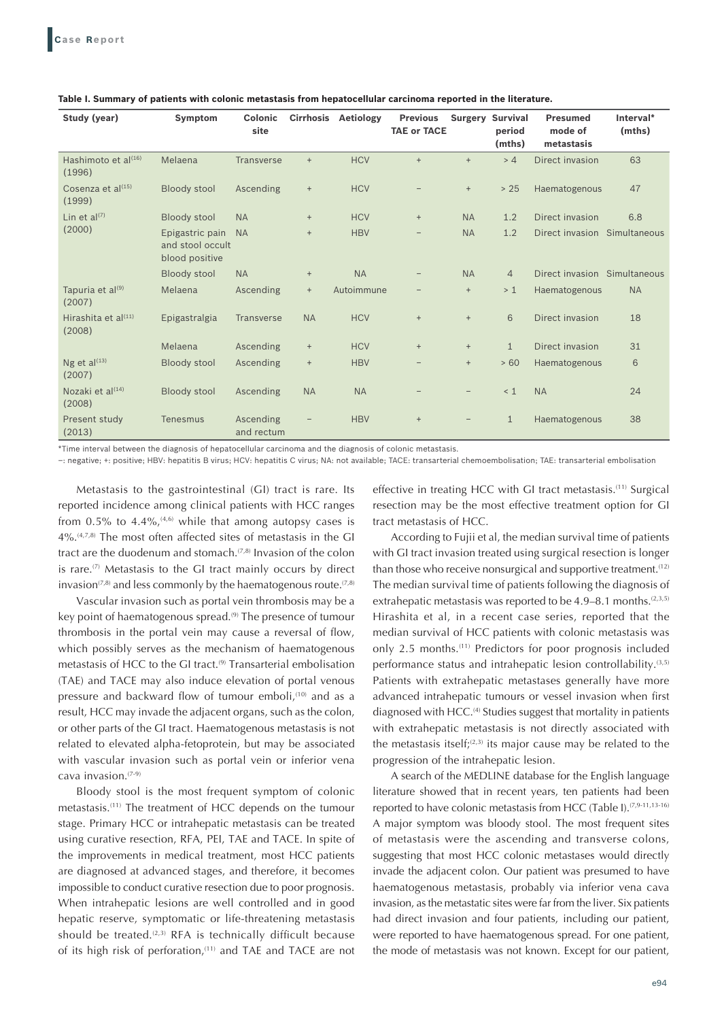| Study (year)                            | Symptom                                               | <b>Colonic</b><br>site  | <b>Cirrhosis</b>                 | Aetiology  | <b>Previous</b><br><b>TAE or TACE</b> |                                  | <b>Surgery Survival</b><br>period<br>(mths) | <b>Presumed</b><br>mode of<br>metastasis | Interval*<br>(mths) |
|-----------------------------------------|-------------------------------------------------------|-------------------------|----------------------------------|------------|---------------------------------------|----------------------------------|---------------------------------------------|------------------------------------------|---------------------|
| Hashimoto et $a^{(16)}$<br>(1996)       | Melaena                                               | <b>Transverse</b>       | $+$                              | <b>HCV</b> | $+$                                   | $+$                              | > 4                                         | Direct invasion                          | 63                  |
| Cosenza et al <sup>(15)</sup><br>(1999) | <b>Bloody stool</b>                                   | Ascending               | $\begin{array}{c} + \end{array}$ | <b>HCV</b> |                                       | $\begin{array}{c} + \end{array}$ | > 25                                        | Haematogenous                            | 47                  |
| Lin et $al^{(7)}$<br>(2000)             | <b>Bloody stool</b>                                   | <b>NA</b>               | $^{+}$                           | <b>HCV</b> | $^{+}$                                | <b>NA</b>                        | 1.2                                         | Direct invasion                          | 6.8                 |
|                                         | Epigastric pain<br>and stool occult<br>blood positive | <b>NA</b>               | $+$                              | <b>HBV</b> | $\qquad \qquad -$                     | <b>NA</b>                        | 1.2                                         | Direct invasion Simultaneous             |                     |
|                                         | <b>Bloody stool</b>                                   | <b>NA</b>               | $^{+}$                           | <b>NA</b>  |                                       | <b>NA</b>                        | $\overline{4}$                              | Direct invasion Simultaneous             |                     |
| Tapuria et al <sup>(9)</sup><br>(2007)  | Melaena                                               | Ascending               | $^{+}$                           | Autoimmune |                                       | $^{+}$                           | >1                                          | Haematogenous                            | <b>NA</b>           |
| Hirashita et $a^{(11)}$<br>(2008)       | Epigastralgia                                         | Transverse              | <b>NA</b>                        | <b>HCV</b> | $^{+}$                                | $\! +$                           | 6                                           | Direct invasion                          | 18                  |
|                                         | Melaena                                               | Ascending               | $^{+}$                           | <b>HCV</b> | $^{+}$                                | $\! +$                           | $\mathbf{1}$                                | Direct invasion                          | 31                  |
| Ng et $al^{(13)}$<br>(2007)             | <b>Bloody stool</b>                                   | Ascending               | $^{+}$                           | <b>HBV</b> |                                       | $+$                              | > 60                                        | Haematogenous                            | 6                   |
| Nozaki et $al^{(14)}$<br>(2008)         | <b>Bloody stool</b>                                   | Ascending               | <b>NA</b>                        | <b>NA</b>  |                                       |                                  | < 1                                         | <b>NA</b>                                | 24                  |
| Present study<br>(2013)                 | Tenesmus                                              | Ascending<br>and rectum |                                  | <b>HBV</b> | $^{+}$                                |                                  | $\mathbf{1}$                                | Haematogenous                            | 38                  |

**Table I. Summary of patients with colonic metastasis from hepatocellular carcinoma reported in the literature.**

\*Time interval between the diagnosis of hepatocellular carcinoma and the diagnosis of colonic metastasis.

–: negative; +: positive; HBV: hepatitis B virus; HCV: hepatitis C virus; NA: not available; TACE: transarterial chemoembolisation; TAE: transarterial embolisation

Metastasis to the gastrointestinal (GI) tract is rare. Its reported incidence among clinical patients with HCC ranges from  $0.5\%$  to  $4.4\%$ ,  $(4.6)$  while that among autopsy cases is 4%.(4,7,8) The most often affected sites of metastasis in the GI tract are the duodenum and stomach.<sup>(7,8)</sup> Invasion of the colon is rare.<sup>(7)</sup> Metastasis to the GI tract mainly occurs by direct invasion( $7,8$ ) and less commonly by the haematogenous route.  $(7,8)$ 

Vascular invasion such as portal vein thrombosis may be a key point of haematogenous spread.<sup>(9)</sup> The presence of tumour thrombosis in the portal vein may cause a reversal of flow, which possibly serves as the mechanism of haematogenous metastasis of HCC to the GI tract.<sup>(9)</sup> Transarterial embolisation (TAE) and TACE may also induce elevation of portal venous pressure and backward flow of tumour emboli,<sup>(10)</sup> and as a result, HCC may invade the adjacent organs, such as the colon, or other parts of the GI tract. Haematogenous metastasis is not related to elevated alpha-fetoprotein, but may be associated with vascular invasion such as portal vein or inferior vena cava invasion.(7-9)

Bloody stool is the most frequent symptom of colonic metastasis.(11) The treatment of HCC depends on the tumour stage. Primary HCC or intrahepatic metastasis can be treated using curative resection, RFA, PEI, TAE and TACE. In spite of the improvements in medical treatment, most HCC patients are diagnosed at advanced stages, and therefore, it becomes impossible to conduct curative resection due to poor prognosis. When intrahepatic lesions are well controlled and in good hepatic reserve, symptomatic or life-threatening metastasis should be treated. $(2,3)$  RFA is technically difficult because of its high risk of perforation,<sup>(11)</sup> and TAE and TACE are not

effective in treating HCC with GI tract metastasis.(11) Surgical resection may be the most effective treatment option for GI tract metastasis of HCC.

According to Fujii et al, the median survival time of patients with GI tract invasion treated using surgical resection is longer than those who receive nonsurgical and supportive treatment.<sup>(12)</sup> The median survival time of patients following the diagnosis of extrahepatic metastasis was reported to be  $4.9-8.1$  months.<sup>(2,3,5)</sup> Hirashita et al, in a recent case series, reported that the median survival of HCC patients with colonic metastasis was only 2.5 months.(11) Predictors for poor prognosis included performance status and intrahepatic lesion controllability.<sup>(3,5)</sup> Patients with extrahepatic metastases generally have more advanced intrahepatic tumours or vessel invasion when first diagnosed with HCC.(4) Studies suggest that mortality in patients with extrahepatic metastasis is not directly associated with the metastasis itself; $(2,3)$  its major cause may be related to the progression of the intrahepatic lesion.

A search of the MEDLINE database for the English language literature showed that in recent years, ten patients had been reported to have colonic metastasis from HCC (Table I).<sup>(7,9-11,13-16)</sup> A major symptom was bloody stool. The most frequent sites of metastasis were the ascending and transverse colons, suggesting that most HCC colonic metastases would directly invade the adjacent colon. Our patient was presumed to have haematogenous metastasis, probably via inferior vena cava invasion, as the metastatic sites were far from the liver. Six patients had direct invasion and four patients, including our patient, were reported to have haematogenous spread. For one patient, the mode of metastasis was not known. Except for our patient,